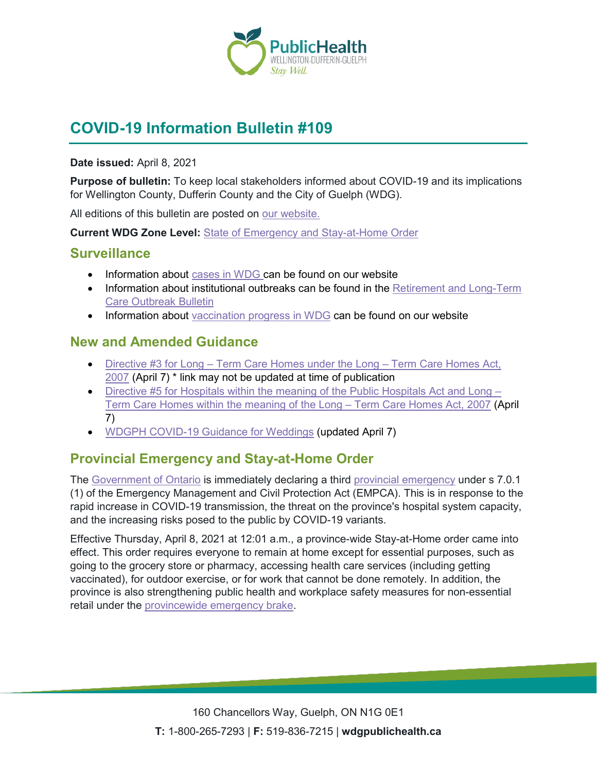

# **COVID-19 Information Bulletin #109**

#### **Date issued:** April 8, 2021

**Purpose of bulletin:** To keep local stakeholders informed about COVID-19 and its implications for Wellington County, Dufferin County and the City of Guelph (WDG).

All editions of this bulletin are posted on [our website.](https://www.wdgpublichealth.ca/your-health/covid-19-information-workplaces-and-living-spaces/community-stakeholder-bulletins)

**Current WDG Zone Level:** [State of Emergency and Stay-at-Home Order](https://www.ontario.ca/page/covid-19-provincewide-shutdown)

#### **Surveillance**

- Information about [cases in WDG](https://wdgpublichealth.ca/your-health/covid-19-information-public/status-cases-wdg) can be found on our website
- Information about institutional outbreaks can be found in the Retirement and Long-Term [Care Outbreak Bulletin](https://wdgpublichealth.ca/node/1542)
- Information about [vaccination progress](https://www.wdgpublichealth.ca/your-health/covid-19-information-public/covid-19-vaccine-information-public) in WDG can be found on our website

### **New and Amended Guidance**

- Directive #3 for Long [Term Care Homes under the Long –](https://www.health.gov.on.ca/en/pro/programs/publichealth/coronavirus/docs/directives/LTCH_HPPA.pdf) Term Care Homes Act, [2007](https://www.health.gov.on.ca/en/pro/programs/publichealth/coronavirus/docs/directives/LTCH_HPPA.pdf) (April 7) \* link may not be updated at time of publication
- [Directive #5 for Hospitals within the meaning of the](https://www.health.gov.on.ca/en/pro/programs/publichealth/coronavirus/docs/directives/public_hospitals_act.pdf) Public Hospitals Act and Long [Term Care Homes within the meaning of the](https://www.health.gov.on.ca/en/pro/programs/publichealth/coronavirus/docs/directives/public_hospitals_act.pdf) Long – Term Care Homes Act, 2007 (April 7)
- WDGPH [COVID-19 Guidance for Weddings](https://www.wdgpublichealth.ca/sites/default/files/covid-19_guidance_for_weddings_-_all_zones_apr_7_2021.pdf) (updated April 7)

# **Provincial Emergency and Stay-at-Home Order**

The [Government of Ontario](https://news.ontario.ca/en/release/61029/ontario-enacts-provincial-emergency-and-stay-at-home-order) is immediately declaring a third [provincial emergency](https://www.ontario.ca/page/enhancing-public-health-and-workplace-safety-measures-provincewide-shutdown) under s 7.0.1 (1) of the Emergency Management and Civil Protection Act (EMPCA). This is in response to the rapid increase in COVID-19 transmission, the threat on the province's hospital system capacity, and the increasing risks posed to the public by COVID-19 variants.

Effective Thursday, April 8, 2021 at 12:01 a.m., a province-wide Stay-at-Home order came into effect. This order requires everyone to remain at home except for essential purposes, such as going to the grocery store or pharmacy, accessing health care services (including getting vaccinated), for outdoor exercise, or for work that cannot be done remotely. In addition, the province is also strengthening public health and workplace safety measures for non-essential retail under the [provincewide emergency brake.](https://covid-19.ontario.ca/zones-and-restrictions)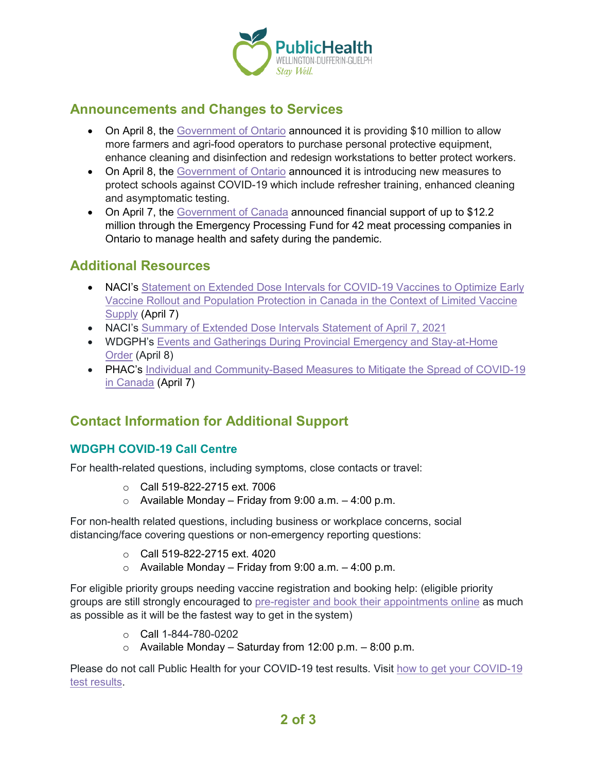

## **Announcements and Changes to Services**

- On April 8, the [Government of Ontario](https://news.ontario.ca/en/release/61059/ontario-helps-farmers-and-agri-food-operators-keep-workers-safe-during-covid-19) announced it is providing \$10 million to allow more farmers and agri-food operators to purchase personal protective equipment, enhance cleaning and disinfection and redesign workstations to better protect workers.
- On April 8, the [Government of Ontario](https://news.ontario.ca/en/release/61052/additional-protections-for-schools-to-keep-students-and-staff-safe) announced it is introducing new measures to protect schools against COVID-19 which include refresher training, enhanced cleaning and asymptomatic testing.
- On April 7, the [Government of Canada](https://www.canada.ca/en/agriculture-agri-food/news/2021/04/government-of-canada-investing-over-12-million-to-improve-worker-safety-and-increase-capacity-of-ontario-meat-processing.html) announced financial support of up to \$12.2 million through the Emergency Processing Fund for 42 meat processing companies in Ontario to manage health and safety during the pandemic.

### **Additional Resources**

- NACI's Statement on Extended Dose Intervals for COVID-19 Vaccines to Optimize Early [Vaccine Rollout and Population Protection in Canada in the Context of Limited Vaccine](https://can01.safelinks.protection.outlook.com/?url=https%3A%2F%2Fwww.canada.ca%2Fcontent%2Fdam%2Fphac-aspc%2Fdocuments%2Fservices%2Fimmunization%2Fnational-advisory-committee-on-immunization-naci%2Fnaci-summary-extended-dose-interval-covid-19-en.pdf&data=04%7C01%7C%7C4bcede7b91c044ae486c08d8fa22b4e7%7C0928437e1ae24ba7afd16948fcb91c48%7C0%7C0%7C637534374905630335%7CUnknown%7CTWFpbGZsb3d8eyJWIjoiMC4wLjAwMDAiLCJQIjoiV2luMzIiLCJBTiI6Ik1haWwiLCJXVCI6Mn0%3D%7C1000&sdata=kGKEJFKiqlVBqqYVksvsS3uSyLTMHIxPgj6poxStzZg%3D&reserved=0)  [Supply](https://can01.safelinks.protection.outlook.com/?url=https%3A%2F%2Fwww.canada.ca%2Fcontent%2Fdam%2Fphac-aspc%2Fdocuments%2Fservices%2Fimmunization%2Fnational-advisory-committee-on-immunization-naci%2Fnaci-summary-extended-dose-interval-covid-19-en.pdf&data=04%7C01%7C%7C4bcede7b91c044ae486c08d8fa22b4e7%7C0928437e1ae24ba7afd16948fcb91c48%7C0%7C0%7C637534374905630335%7CUnknown%7CTWFpbGZsb3d8eyJWIjoiMC4wLjAwMDAiLCJQIjoiV2luMzIiLCJBTiI6Ik1haWwiLCJXVCI6Mn0%3D%7C1000&sdata=kGKEJFKiqlVBqqYVksvsS3uSyLTMHIxPgj6poxStzZg%3D&reserved=0) (April 7)
- NACI's [Summary of Extended Dose Intervals Statement of April 7, 2021](https://www.canada.ca/content/dam/phac-aspc/documents/services/immunization/national-advisory-committee-on-immunization-naci/naci-summary-extended-dose-interval-statement-en.pdf)
- WDGPH's [Events and Gatherings During Provincial Emergency and Stay-at-Home](https://www.wdgpublichealth.ca/your-health/covid-19-information-public/current-public-health-measures-and-restrictions/events-and)  [Order](https://www.wdgpublichealth.ca/your-health/covid-19-information-public/current-public-health-measures-and-restrictions/events-and) (April 8)
- PHAC's [Individual and Community-Based Measures to Mitigate the Spread of COVID-19](https://www.canada.ca/en/public-health/services/diseases/2019-novel-coronavirus-infection/health-professionals/public-health-measures-mitigate-covid-19.html)  [in Canada](https://www.canada.ca/en/public-health/services/diseases/2019-novel-coronavirus-infection/health-professionals/public-health-measures-mitigate-covid-19.html) (April 7)

# **Contact Information for Additional Support**

#### **WDGPH COVID-19 Call Centre**

For health-related questions, including symptoms, close contacts or travel:

- o Call 519-822-2715 ext. 7006
- $\circ$  Available Monday Friday from 9:00 a.m. 4:00 p.m.

For non-health related questions, including business or workplace concerns, social distancing/face covering questions or non-emergency reporting questions:

- o Call 519-822-2715 ext. 4020
- $\circ$  Available Monday Friday from 9:00 a.m. 4:00 p.m.

For eligible priority groups needing vaccine registration and booking help: (eligible priority groups are still strongly encouraged to [pre-register and book their appointments online](https://wdgpublichealth.ca/your-health/covid-19-information-public/covid-19-vaccine-information/pre-register-your-covid-19) as much as possible as it will be the fastest way to get in the system)

- o Call 1-844-780-0202
- o Available Monday Saturday from 12:00 p.m. 8:00 p.m.

Please do not call Public Health for your COVID-19 test results. Visit [how to get your COVID-19](https://www.wdgpublichealth.ca/your-health/covid-19-information-public/how-get-your-covid-19-test-result)  [test results.](https://www.wdgpublichealth.ca/your-health/covid-19-information-public/how-get-your-covid-19-test-result)